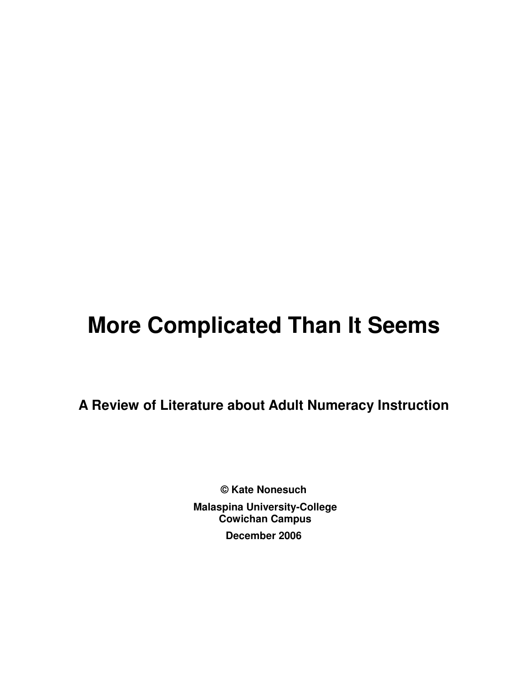# **More Complicated Than It Seems**

**A Review of Literature about Adult Numeracy Instruction** 

**© Kate Nonesuch Malaspina University-College Cowichan Campus December 2006**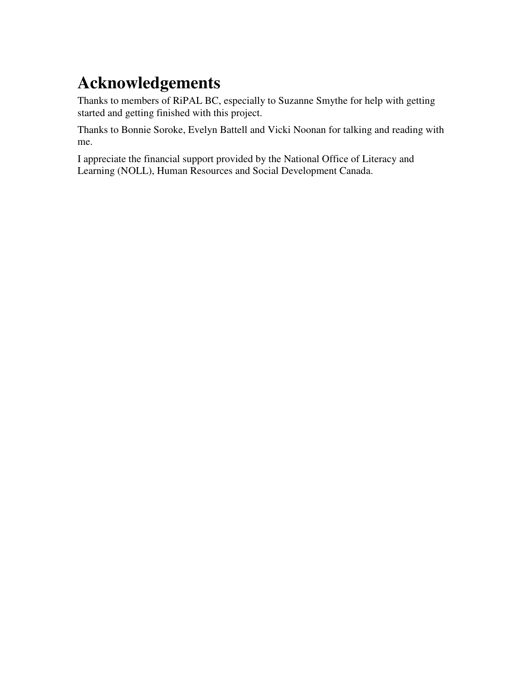# **Acknowledgements**

Thanks to members of RiPAL BC, especially to Suzanne Smythe for help with getting started and getting finished with this project.

Thanks to Bonnie Soroke, Evelyn Battell and Vicki Noonan for talking and reading with me.

I appreciate the financial support provided by the National Office of Literacy and Learning (NOLL), Human Resources and Social Development Canada.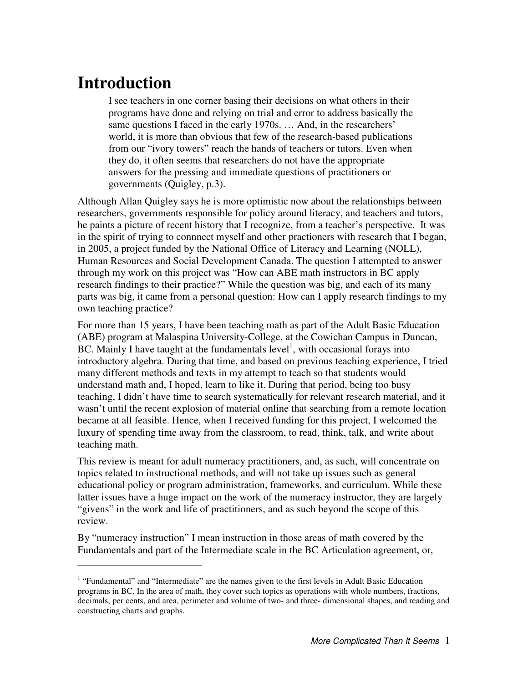## **Introduction**

 $\overline{a}$ 

I see teachers in one corner basing their decisions on what others in their programs have done and relying on trial and error to address basically the same questions I faced in the early 1970s. … And, in the researchers' world, it is more than obvious that few of the research-based publications from our "ivory towers" reach the hands of teachers or tutors. Even when they do, it often seems that researchers do not have the appropriate answers for the pressing and immediate questions of practitioners or governments (Quigley, p.3).

Although Allan Quigley says he is more optimistic now about the relationships between researchers, governments responsible for policy around literacy, and teachers and tutors, he paints a picture of recent history that I recognize, from a teacher's perspective. It was in the spirit of trying to connnect myself and other practioners with research that I began, in 2005, a project funded by the National Office of Literacy and Learning (NOLL), Human Resources and Social Development Canada. The question I attempted to answer through my work on this project was "How can ABE math instructors in BC apply research findings to their practice?" While the question was big, and each of its many parts was big, it came from a personal question: How can I apply research findings to my own teaching practice?

For more than 15 years, I have been teaching math as part of the Adult Basic Education (ABE) program at Malaspina University-College, at the Cowichan Campus in Duncan, BC. Mainly I have taught at the fundamentals  $level<sup>1</sup>$ , with occasional forays into introductory algebra. During that time, and based on previous teaching experience, I tried many different methods and texts in my attempt to teach so that students would understand math and, I hoped, learn to like it. During that period, being too busy teaching, I didn't have time to search systematically for relevant research material, and it wasn't until the recent explosion of material online that searching from a remote location became at all feasible. Hence, when I received funding for this project, I welcomed the luxury of spending time away from the classroom, to read, think, talk, and write about teaching math.

This review is meant for adult numeracy practitioners, and, as such, will concentrate on topics related to instructional methods, and will not take up issues such as general educational policy or program administration, frameworks, and curriculum. While these latter issues have a huge impact on the work of the numeracy instructor, they are largely "givens" in the work and life of practitioners, and as such beyond the scope of this review.

By "numeracy instruction" I mean instruction in those areas of math covered by the Fundamentals and part of the Intermediate scale in the BC Articulation agreement, or,

<sup>&</sup>lt;sup>1</sup> "Fundamental" and "Intermediate" are the names given to the first levels in Adult Basic Education programs in BC. In the area of math, they cover such topics as operations with whole numbers, fractions, decimals, per cents, and area, perimeter and volume of two- and three- dimensional shapes, and reading and constructing charts and graphs.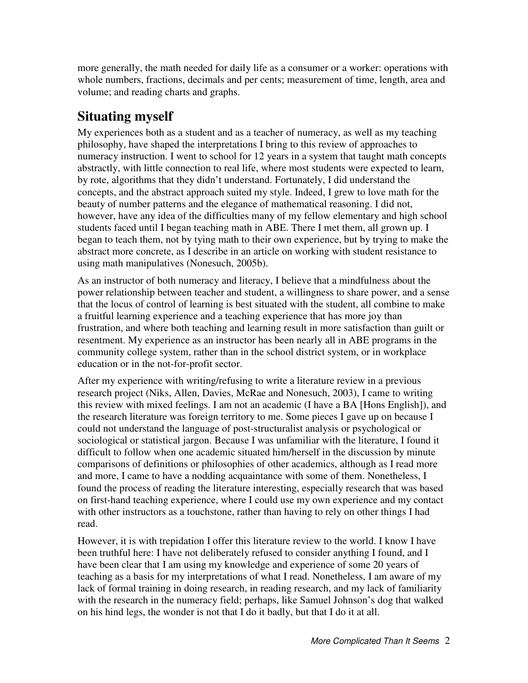more generally, the math needed for daily life as a consumer or a worker: operations with whole numbers, fractions, decimals and per cents; measurement of time, length, area and volume; and reading charts and graphs.

### **Situating myself**

My experiences both as a student and as a teacher of numeracy, as well as my teaching philosophy, have shaped the interpretations I bring to this review of approaches to numeracy instruction. I went to school for 12 years in a system that taught math concepts abstractly, with little connection to real life, where most students were expected to learn, by rote, algorithms that they didn't understand. Fortunately, I did understand the concepts, and the abstract approach suited my style. Indeed, I grew to love math for the beauty of number patterns and the elegance of mathematical reasoning. I did not, however, have any idea of the difficulties many of my fellow elementary and high school students faced until I began teaching math in ABE. There I met them, all grown up. I began to teach them, not by tying math to their own experience, but by trying to make the abstract more concrete, as I describe in an article on working with student resistance to using math manipulatives (Nonesuch, 2005b).

As an instructor of both numeracy and literacy, I believe that a mindfulness about the power relationship between teacher and student, a willingness to share power, and a sense that the locus of control of learning is best situated with the student, all combine to make a fruitful learning experience and a teaching experience that has more joy than frustration, and where both teaching and learning result in more satisfaction than guilt or resentment. My experience as an instructor has been nearly all in ABE programs in the community college system, rather than in the school district system, or in workplace education or in the not-for-profit sector.

After my experience with writing/refusing to write a literature review in a previous research project (Niks, Allen, Davies, McRae and Nonesuch, 2003), I came to writing this review with mixed feelings. I am not an academic (I have a BA [Hons English]), and the research literature was foreign territory to me. Some pieces I gave up on because I could not understand the language of post-structuralist analysis or psychological or sociological or statistical jargon. Because I was unfamiliar with the literature, I found it difficult to follow when one academic situated him/herself in the discussion by minute comparisons of definitions or philosophies of other academics, although as I read more and more, I came to have a nodding acquaintance with some of them. Nonetheless, I found the process of reading the literature interesting, especially research that was based on first-hand teaching experience, where I could use my own experience and my contact with other instructors as a touchstone, rather than having to rely on other things I had read.

However, it is with trepidation I offer this literature review to the world. I know I have been truthful here: I have not deliberately refused to consider anything I found, and I have been clear that I am using my knowledge and experience of some 20 years of teaching as a basis for my interpretations of what I read. Nonetheless, I am aware of my lack of formal training in doing research, in reading research, and my lack of familiarity with the research in the numeracy field; perhaps, like Samuel Johnson's dog that walked on his hind legs, the wonder is not that I do it badly, but that I do it at all.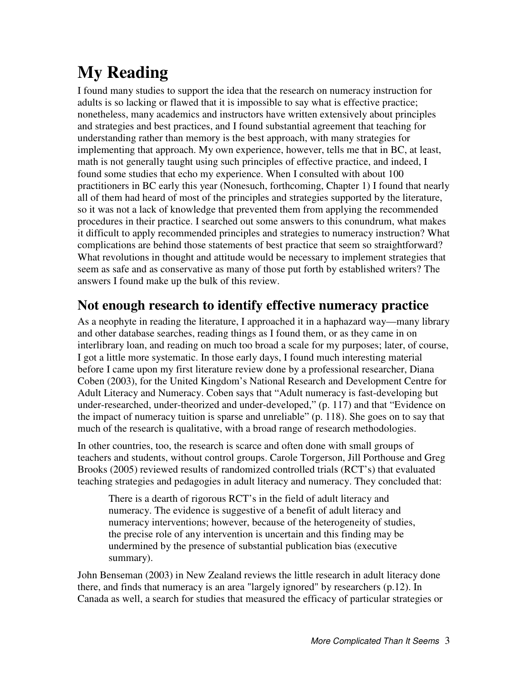# **My Reading**

I found many studies to support the idea that the research on numeracy instruction for adults is so lacking or flawed that it is impossible to say what is effective practice; nonetheless, many academics and instructors have written extensively about principles and strategies and best practices, and I found substantial agreement that teaching for understanding rather than memory is the best approach, with many strategies for implementing that approach. My own experience, however, tells me that in BC, at least, math is not generally taught using such principles of effective practice, and indeed, I found some studies that echo my experience. When I consulted with about 100 practitioners in BC early this year (Nonesuch, forthcoming, Chapter 1) I found that nearly all of them had heard of most of the principles and strategies supported by the literature, so it was not a lack of knowledge that prevented them from applying the recommended procedures in their practice. I searched out some answers to this conundrum, what makes it difficult to apply recommended principles and strategies to numeracy instruction? What complications are behind those statements of best practice that seem so straightforward? What revolutions in thought and attitude would be necessary to implement strategies that seem as safe and as conservative as many of those put forth by established writers? The answers I found make up the bulk of this review.

### **Not enough research to identify effective numeracy practice**

As a neophyte in reading the literature, I approached it in a haphazard way—many library and other database searches, reading things as I found them, or as they came in on interlibrary loan, and reading on much too broad a scale for my purposes; later, of course, I got a little more systematic. In those early days, I found much interesting material before I came upon my first literature review done by a professional researcher, Diana Coben (2003), for the United Kingdom's National Research and Development Centre for Adult Literacy and Numeracy. Coben says that "Adult numeracy is fast-developing but under-researched, under-theorized and under-developed," (p. 117) and that "Evidence on the impact of numeracy tuition is sparse and unreliable" (p. 118). She goes on to say that much of the research is qualitative, with a broad range of research methodologies.

In other countries, too, the research is scarce and often done with small groups of teachers and students, without control groups. Carole Torgerson, Jill Porthouse and Greg Brooks (2005) reviewed results of randomized controlled trials (RCT's) that evaluated teaching strategies and pedagogies in adult literacy and numeracy. They concluded that:

There is a dearth of rigorous RCT's in the field of adult literacy and numeracy. The evidence is suggestive of a benefit of adult literacy and numeracy interventions; however, because of the heterogeneity of studies, the precise role of any intervention is uncertain and this finding may be undermined by the presence of substantial publication bias (executive summary).

John Benseman (2003) in New Zealand reviews the little research in adult literacy done there, and finds that numeracy is an area "largely ignored" by researchers (p.12). In Canada as well, a search for studies that measured the efficacy of particular strategies or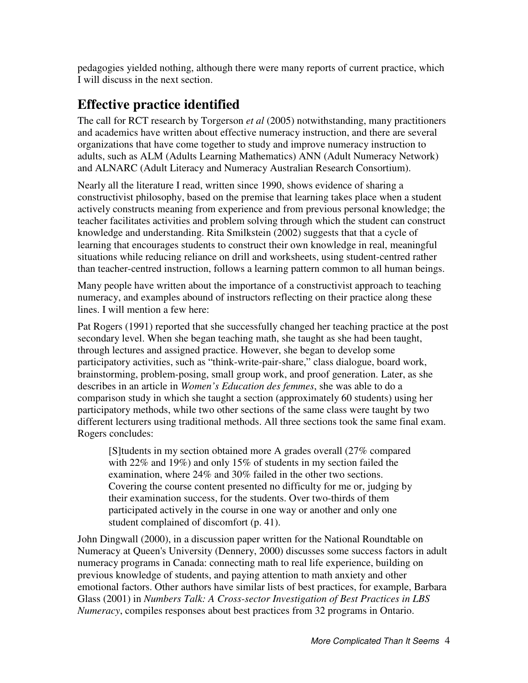pedagogies yielded nothing, although there were many reports of current practice, which I will discuss in the next section.

## **Effective practice identified**

The call for RCT research by Torgerson *et al* (2005) notwithstanding, many practitioners and academics have written about effective numeracy instruction, and there are several organizations that have come together to study and improve numeracy instruction to adults, such as ALM (Adults Learning Mathematics) ANN (Adult Numeracy Network) and ALNARC (Adult Literacy and Numeracy Australian Research Consortium).

Nearly all the literature I read, written since 1990, shows evidence of sharing a constructivist philosophy, based on the premise that learning takes place when a student actively constructs meaning from experience and from previous personal knowledge; the teacher facilitates activities and problem solving through which the student can construct knowledge and understanding. Rita Smilkstein (2002) suggests that that a cycle of learning that encourages students to construct their own knowledge in real, meaningful situations while reducing reliance on drill and worksheets, using student-centred rather than teacher-centred instruction, follows a learning pattern common to all human beings.

Many people have written about the importance of a constructivist approach to teaching numeracy, and examples abound of instructors reflecting on their practice along these lines. I will mention a few here:

Pat Rogers (1991) reported that she successfully changed her teaching practice at the post secondary level. When she began teaching math, she taught as she had been taught, through lectures and assigned practice. However, she began to develop some participatory activities, such as "think-write-pair-share," class dialogue, board work, brainstorming, problem-posing, small group work, and proof generation. Later, as she describes in an article in *Women's Education des femmes*, she was able to do a comparison study in which she taught a section (approximately 60 students) using her participatory methods, while two other sections of the same class were taught by two different lecturers using traditional methods. All three sections took the same final exam. Rogers concludes:

[S]tudents in my section obtained more A grades overall (27% compared with 22% and 19%) and only 15% of students in my section failed the examination, where 24% and 30% failed in the other two sections. Covering the course content presented no difficulty for me or, judging by their examination success, for the students. Over two-thirds of them participated actively in the course in one way or another and only one student complained of discomfort (p. 41).

John Dingwall (2000), in a discussion paper written for the National Roundtable on Numeracy at Queen's University (Dennery, 2000) discusses some success factors in adult numeracy programs in Canada: connecting math to real life experience, building on previous knowledge of students, and paying attention to math anxiety and other emotional factors. Other authors have similar lists of best practices, for example, Barbara Glass (2001) in *Numbers Talk: A Cross-sector Investigation of Best Practices in LBS Numeracy*, compiles responses about best practices from 32 programs in Ontario.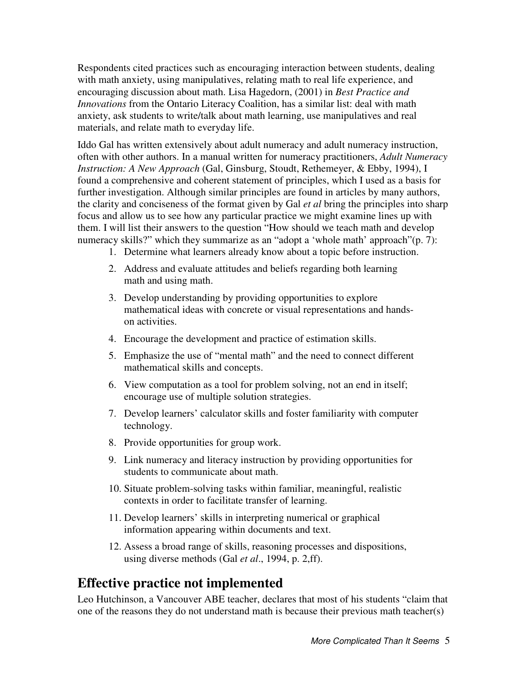Respondents cited practices such as encouraging interaction between students, dealing with math anxiety, using manipulatives, relating math to real life experience, and encouraging discussion about math. Lisa Hagedorn, (2001) in *Best Practice and Innovations* from the Ontario Literacy Coalition, has a similar list: deal with math anxiety, ask students to write/talk about math learning, use manipulatives and real materials, and relate math to everyday life.

Iddo Gal has written extensively about adult numeracy and adult numeracy instruction, often with other authors. In a manual written for numeracy practitioners, *Adult Numeracy Instruction: A New Approach* (Gal, Ginsburg, Stoudt, Rethemeyer, & Ebby, 1994), I found a comprehensive and coherent statement of principles, which I used as a basis for further investigation. Although similar principles are found in articles by many authors, the clarity and conciseness of the format given by Gal *et al* bring the principles into sharp focus and allow us to see how any particular practice we might examine lines up with them. I will list their answers to the question "How should we teach math and develop numeracy skills?" which they summarize as an "adopt a 'whole math' approach"(p. 7):

- 1. Determine what learners already know about a topic before instruction.
- 2. Address and evaluate attitudes and beliefs regarding both learning math and using math.
- 3. Develop understanding by providing opportunities to explore mathematical ideas with concrete or visual representations and handson activities.
- 4. Encourage the development and practice of estimation skills.
- 5. Emphasize the use of "mental math" and the need to connect different mathematical skills and concepts.
- 6. View computation as a tool for problem solving, not an end in itself; encourage use of multiple solution strategies.
- 7. Develop learners' calculator skills and foster familiarity with computer technology.
- 8. Provide opportunities for group work.
- 9. Link numeracy and literacy instruction by providing opportunities for students to communicate about math.
- 10. Situate problem-solving tasks within familiar, meaningful, realistic contexts in order to facilitate transfer of learning.
- 11. Develop learners' skills in interpreting numerical or graphical information appearing within documents and text.
- 12. Assess a broad range of skills, reasoning processes and dispositions, using diverse methods (Gal *et al*., 1994, p. 2,ff).

### **Effective practice not implemented**

Leo Hutchinson, a Vancouver ABE teacher, declares that most of his students "claim that one of the reasons they do not understand math is because their previous math teacher(s)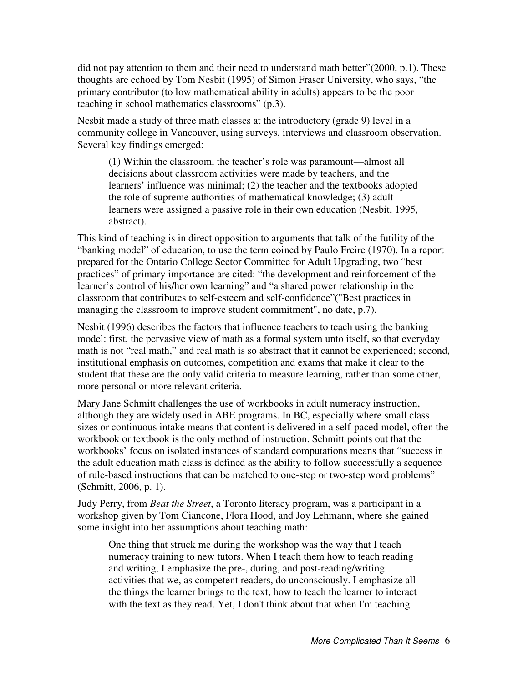did not pay attention to them and their need to understand math better"(2000, p.1). These thoughts are echoed by Tom Nesbit (1995) of Simon Fraser University, who says, "the primary contributor (to low mathematical ability in adults) appears to be the poor teaching in school mathematics classrooms" (p.3).

Nesbit made a study of three math classes at the introductory (grade 9) level in a community college in Vancouver, using surveys, interviews and classroom observation. Several key findings emerged:

(1) Within the classroom, the teacher's role was paramount—almost all decisions about classroom activities were made by teachers, and the learners' influence was minimal; (2) the teacher and the textbooks adopted the role of supreme authorities of mathematical knowledge; (3) adult learners were assigned a passive role in their own education (Nesbit, 1995, abstract).

This kind of teaching is in direct opposition to arguments that talk of the futility of the "banking model" of education, to use the term coined by Paulo Freire (1970). In a report prepared for the Ontario College Sector Committee for Adult Upgrading, two "best practices" of primary importance are cited: "the development and reinforcement of the learner's control of his/her own learning" and "a shared power relationship in the classroom that contributes to self-esteem and self-confidence"("Best practices in managing the classroom to improve student commitment", no date, p.7).

Nesbit (1996) describes the factors that influence teachers to teach using the banking model: first, the pervasive view of math as a formal system unto itself, so that everyday math is not "real math," and real math is so abstract that it cannot be experienced; second, institutional emphasis on outcomes, competition and exams that make it clear to the student that these are the only valid criteria to measure learning, rather than some other, more personal or more relevant criteria.

Mary Jane Schmitt challenges the use of workbooks in adult numeracy instruction, although they are widely used in ABE programs. In BC, especially where small class sizes or continuous intake means that content is delivered in a self-paced model, often the workbook or textbook is the only method of instruction. Schmitt points out that the workbooks' focus on isolated instances of standard computations means that "success in the adult education math class is defined as the ability to follow successfully a sequence of rule-based instructions that can be matched to one-step or two-step word problems" (Schmitt, 2006, p. 1).

Judy Perry, from *Beat the Street*, a Toronto literacy program, was a participant in a workshop given by Tom Ciancone, Flora Hood, and Joy Lehmann, where she gained some insight into her assumptions about teaching math:

One thing that struck me during the workshop was the way that I teach numeracy training to new tutors. When I teach them how to teach reading and writing, I emphasize the pre-, during, and post-reading/writing activities that we, as competent readers, do unconsciously. I emphasize all the things the learner brings to the text, how to teach the learner to interact with the text as they read. Yet, I don't think about that when I'm teaching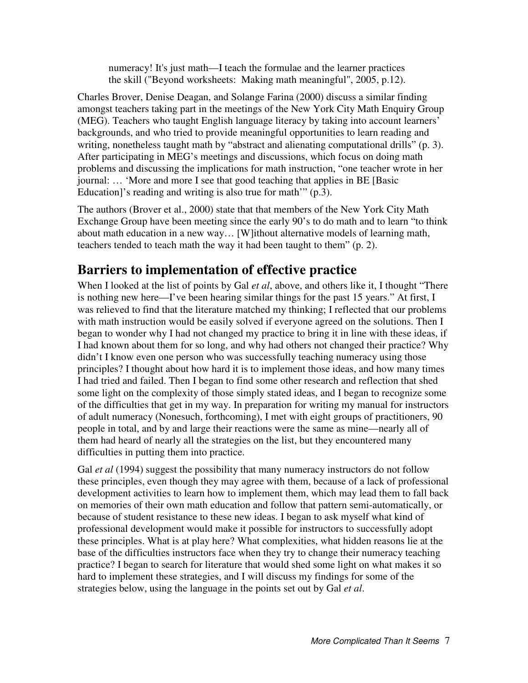numeracy! It's just math—I teach the formulae and the learner practices the skill ("Beyond worksheets: Making math meaningful", 2005, p.12).

Charles Brover, Denise Deagan, and Solange Farina (2000) discuss a similar finding amongst teachers taking part in the meetings of the New York City Math Enquiry Group (MEG). Teachers who taught English language literacy by taking into account learners' backgrounds, and who tried to provide meaningful opportunities to learn reading and writing, nonetheless taught math by "abstract and alienating computational drills" (p. 3). After participating in MEG's meetings and discussions, which focus on doing math problems and discussing the implications for math instruction, "one teacher wrote in her journal: … 'More and more I see that good teaching that applies in BE [Basic Education]'s reading and writing is also true for math'" (p.3).

The authors (Brover et al., 2000) state that that members of the New York City Math Exchange Group have been meeting since the early 90's to do math and to learn "to think about math education in a new way… [W]ithout alternative models of learning math, teachers tended to teach math the way it had been taught to them" (p. 2).

## **Barriers to implementation of effective practice**

When I looked at the list of points by Gal *et al*, above, and others like it, I thought "There is nothing new here—I've been hearing similar things for the past 15 years." At first, I was relieved to find that the literature matched my thinking; I reflected that our problems with math instruction would be easily solved if everyone agreed on the solutions. Then I began to wonder why I had not changed my practice to bring it in line with these ideas, if I had known about them for so long, and why had others not changed their practice? Why didn't I know even one person who was successfully teaching numeracy using those principles? I thought about how hard it is to implement those ideas, and how many times I had tried and failed. Then I began to find some other research and reflection that shed some light on the complexity of those simply stated ideas, and I began to recognize some of the difficulties that get in my way. In preparation for writing my manual for instructors of adult numeracy (Nonesuch, forthcoming), I met with eight groups of practitioners, 90 people in total, and by and large their reactions were the same as mine—nearly all of them had heard of nearly all the strategies on the list, but they encountered many difficulties in putting them into practice.

Gal *et al* (1994) suggest the possibility that many numeracy instructors do not follow these principles, even though they may agree with them, because of a lack of professional development activities to learn how to implement them, which may lead them to fall back on memories of their own math education and follow that pattern semi-automatically, or because of student resistance to these new ideas. I began to ask myself what kind of professional development would make it possible for instructors to successfully adopt these principles. What is at play here? What complexities, what hidden reasons lie at the base of the difficulties instructors face when they try to change their numeracy teaching practice? I began to search for literature that would shed some light on what makes it so hard to implement these strategies, and I will discuss my findings for some of the strategies below, using the language in the points set out by Gal *et al*.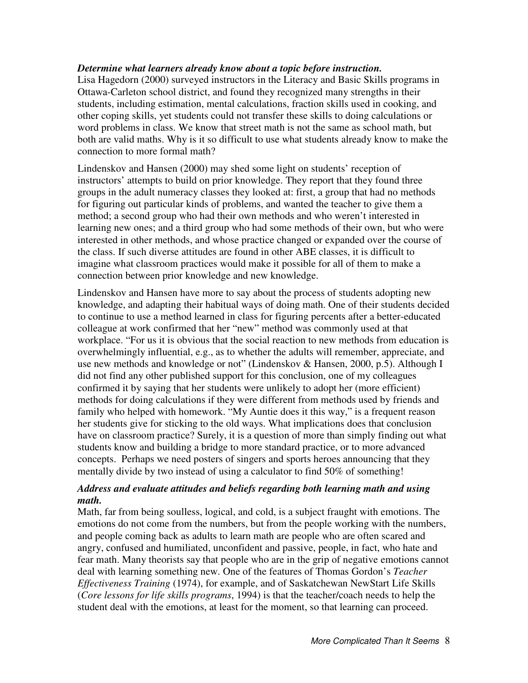#### *Determine what learners already know about a topic before instruction.*

Lisa Hagedorn (2000) surveyed instructors in the Literacy and Basic Skills programs in Ottawa-Carleton school district, and found they recognized many strengths in their students, including estimation, mental calculations, fraction skills used in cooking, and other coping skills, yet students could not transfer these skills to doing calculations or word problems in class. We know that street math is not the same as school math, but both are valid maths. Why is it so difficult to use what students already know to make the connection to more formal math?

Lindenskov and Hansen (2000) may shed some light on students' reception of instructors' attempts to build on prior knowledge. They report that they found three groups in the adult numeracy classes they looked at: first, a group that had no methods for figuring out particular kinds of problems, and wanted the teacher to give them a method; a second group who had their own methods and who weren't interested in learning new ones; and a third group who had some methods of their own, but who were interested in other methods, and whose practice changed or expanded over the course of the class. If such diverse attitudes are found in other ABE classes, it is difficult to imagine what classroom practices would make it possible for all of them to make a connection between prior knowledge and new knowledge.

Lindenskov and Hansen have more to say about the process of students adopting new knowledge, and adapting their habitual ways of doing math. One of their students decided to continue to use a method learned in class for figuring percents after a better-educated colleague at work confirmed that her "new" method was commonly used at that workplace. "For us it is obvious that the social reaction to new methods from education is overwhelmingly influential, e.g., as to whether the adults will remember, appreciate, and use new methods and knowledge or not" (Lindenskov & Hansen, 2000, p.5). Although I did not find any other published support for this conclusion, one of my colleagues confirmed it by saying that her students were unlikely to adopt her (more efficient) methods for doing calculations if they were different from methods used by friends and family who helped with homework. "My Auntie does it this way," is a frequent reason her students give for sticking to the old ways. What implications does that conclusion have on classroom practice? Surely, it is a question of more than simply finding out what students know and building a bridge to more standard practice, or to more advanced concepts. Perhaps we need posters of singers and sports heroes announcing that they mentally divide by two instead of using a calculator to find 50% of something!

#### *Address and evaluate attitudes and beliefs regarding both learning math and using math.*

Math, far from being soulless, logical, and cold, is a subject fraught with emotions. The emotions do not come from the numbers, but from the people working with the numbers, and people coming back as adults to learn math are people who are often scared and angry, confused and humiliated, unconfident and passive, people, in fact, who hate and fear math. Many theorists say that people who are in the grip of negative emotions cannot deal with learning something new. One of the features of Thomas Gordon's *Teacher Effectiveness Training* (1974), for example, and of Saskatchewan NewStart Life Skills (*Core lessons for life skills programs*, 1994) is that the teacher/coach needs to help the student deal with the emotions, at least for the moment, so that learning can proceed.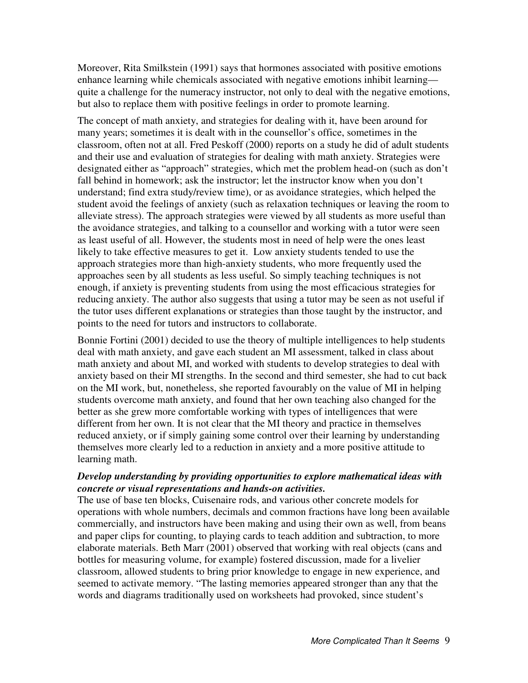Moreover, Rita Smilkstein (1991) says that hormones associated with positive emotions enhance learning while chemicals associated with negative emotions inhibit learning quite a challenge for the numeracy instructor, not only to deal with the negative emotions, but also to replace them with positive feelings in order to promote learning.

The concept of math anxiety, and strategies for dealing with it, have been around for many years; sometimes it is dealt with in the counsellor's office, sometimes in the classroom, often not at all. Fred Peskoff (2000) reports on a study he did of adult students and their use and evaluation of strategies for dealing with math anxiety. Strategies were designated either as "approach" strategies, which met the problem head-on (such as don't fall behind in homework; ask the instructor; let the instructor know when you don't understand; find extra study/review time), or as avoidance strategies, which helped the student avoid the feelings of anxiety (such as relaxation techniques or leaving the room to alleviate stress). The approach strategies were viewed by all students as more useful than the avoidance strategies, and talking to a counsellor and working with a tutor were seen as least useful of all. However, the students most in need of help were the ones least likely to take effective measures to get it. Low anxiety students tended to use the approach strategies more than high-anxiety students, who more frequently used the approaches seen by all students as less useful. So simply teaching techniques is not enough, if anxiety is preventing students from using the most efficacious strategies for reducing anxiety. The author also suggests that using a tutor may be seen as not useful if the tutor uses different explanations or strategies than those taught by the instructor, and points to the need for tutors and instructors to collaborate.

Bonnie Fortini (2001) decided to use the theory of multiple intelligences to help students deal with math anxiety, and gave each student an MI assessment, talked in class about math anxiety and about MI, and worked with students to develop strategies to deal with anxiety based on their MI strengths. In the second and third semester, she had to cut back on the MI work, but, nonetheless, she reported favourably on the value of MI in helping students overcome math anxiety, and found that her own teaching also changed for the better as she grew more comfortable working with types of intelligences that were different from her own. It is not clear that the MI theory and practice in themselves reduced anxiety, or if simply gaining some control over their learning by understanding themselves more clearly led to a reduction in anxiety and a more positive attitude to learning math.

#### *Develop understanding by providing opportunities to explore mathematical ideas with concrete or visual representations and hands-on activities.*

The use of base ten blocks, Cuisenaire rods, and various other concrete models for operations with whole numbers, decimals and common fractions have long been available commercially, and instructors have been making and using their own as well, from beans and paper clips for counting, to playing cards to teach addition and subtraction, to more elaborate materials. Beth Marr (2001) observed that working with real objects (cans and bottles for measuring volume, for example) fostered discussion, made for a livelier classroom, allowed students to bring prior knowledge to engage in new experience, and seemed to activate memory. "The lasting memories appeared stronger than any that the words and diagrams traditionally used on worksheets had provoked, since student's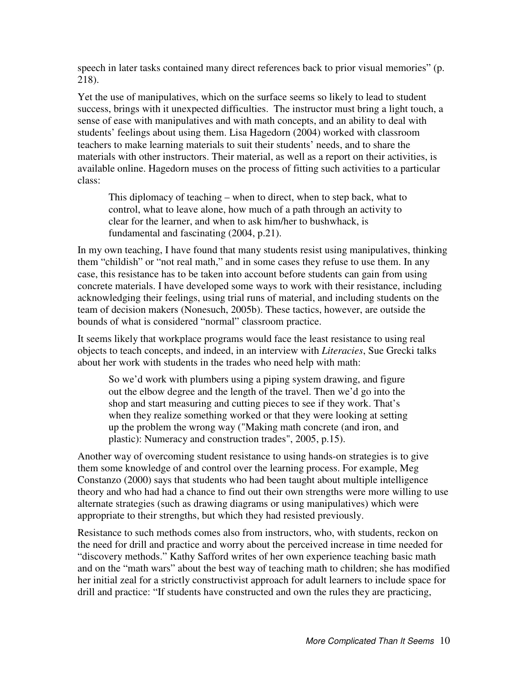speech in later tasks contained many direct references back to prior visual memories" (p. 218).

Yet the use of manipulatives, which on the surface seems so likely to lead to student success, brings with it unexpected difficulties. The instructor must bring a light touch, a sense of ease with manipulatives and with math concepts, and an ability to deal with students' feelings about using them. Lisa Hagedorn (2004) worked with classroom teachers to make learning materials to suit their students' needs, and to share the materials with other instructors. Their material, as well as a report on their activities, is available online. Hagedorn muses on the process of fitting such activities to a particular class:

This diplomacy of teaching – when to direct, when to step back, what to control, what to leave alone, how much of a path through an activity to clear for the learner, and when to ask him/her to bushwhack, is fundamental and fascinating (2004, p.21).

In my own teaching, I have found that many students resist using manipulatives, thinking them "childish" or "not real math," and in some cases they refuse to use them. In any case, this resistance has to be taken into account before students can gain from using concrete materials. I have developed some ways to work with their resistance, including acknowledging their feelings, using trial runs of material, and including students on the team of decision makers (Nonesuch, 2005b). These tactics, however, are outside the bounds of what is considered "normal" classroom practice.

It seems likely that workplace programs would face the least resistance to using real objects to teach concepts, and indeed, in an interview with *Literacies*, Sue Grecki talks about her work with students in the trades who need help with math:

So we'd work with plumbers using a piping system drawing, and figure out the elbow degree and the length of the travel. Then we'd go into the shop and start measuring and cutting pieces to see if they work. That's when they realize something worked or that they were looking at setting up the problem the wrong way ("Making math concrete (and iron, and plastic): Numeracy and construction trades", 2005, p.15).

Another way of overcoming student resistance to using hands-on strategies is to give them some knowledge of and control over the learning process. For example, Meg Constanzo (2000) says that students who had been taught about multiple intelligence theory and who had had a chance to find out their own strengths were more willing to use alternate strategies (such as drawing diagrams or using manipulatives) which were appropriate to their strengths, but which they had resisted previously.

Resistance to such methods comes also from instructors, who, with students, reckon on the need for drill and practice and worry about the perceived increase in time needed for "discovery methods." Kathy Safford writes of her own experience teaching basic math and on the "math wars" about the best way of teaching math to children; she has modified her initial zeal for a strictly constructivist approach for adult learners to include space for drill and practice: "If students have constructed and own the rules they are practicing,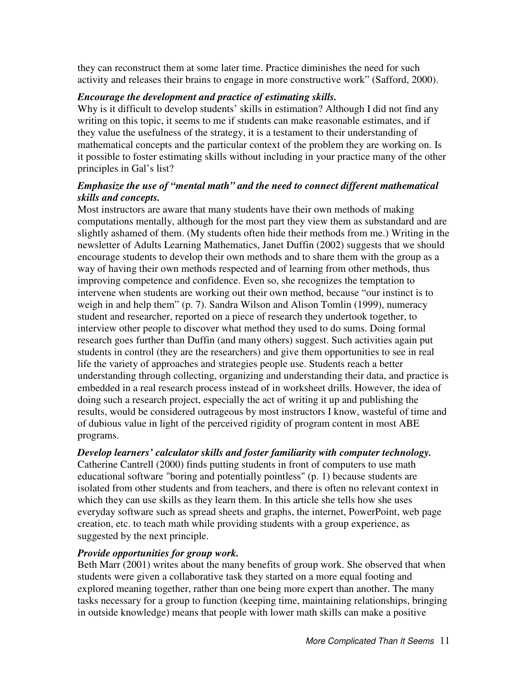they can reconstruct them at some later time. Practice diminishes the need for such activity and releases their brains to engage in more constructive work" (Safford, 2000).

#### *Encourage the development and practice of estimating skills.*

Why is it difficult to develop students' skills in estimation? Although I did not find any writing on this topic, it seems to me if students can make reasonable estimates, and if they value the usefulness of the strategy, it is a testament to their understanding of mathematical concepts and the particular context of the problem they are working on. Is it possible to foster estimating skills without including in your practice many of the other principles in Gal's list?

#### *Emphasize the use of "mental math" and the need to connect different mathematical skills and concepts.*

Most instructors are aware that many students have their own methods of making computations mentally, although for the most part they view them as substandard and are slightly ashamed of them. (My students often hide their methods from me.) Writing in the newsletter of Adults Learning Mathematics, Janet Duffin (2002) suggests that we should encourage students to develop their own methods and to share them with the group as a way of having their own methods respected and of learning from other methods, thus improving competence and confidence. Even so, she recognizes the temptation to intervene when students are working out their own method, because "our instinct is to weigh in and help them" (p. 7). Sandra Wilson and Alison Tomlin (1999), numeracy student and researcher, reported on a piece of research they undertook together, to interview other people to discover what method they used to do sums. Doing formal research goes further than Duffin (and many others) suggest. Such activities again put students in control (they are the researchers) and give them opportunities to see in real life the variety of approaches and strategies people use. Students reach a better understanding through collecting, organizing and understanding their data, and practice is embedded in a real research process instead of in worksheet drills. However, the idea of doing such a research project, especially the act of writing it up and publishing the results, would be considered outrageous by most instructors I know, wasteful of time and of dubious value in light of the perceived rigidity of program content in most ABE programs.

#### *Develop learners' calculator skills and foster familiarity with computer technology.*

Catherine Cantrell (2000) finds putting students in front of computers to use math educational software "boring and potentially pointless" (p. 1) because students are isolated from other students and from teachers, and there is often no relevant context in which they can use skills as they learn them. In this article she tells how she uses everyday software such as spread sheets and graphs, the internet, PowerPoint, web page creation, etc. to teach math while providing students with a group experience, as suggested by the next principle.

#### *Provide opportunities for group work.*

Beth Marr (2001) writes about the many benefits of group work. She observed that when students were given a collaborative task they started on a more equal footing and explored meaning together, rather than one being more expert than another. The many tasks necessary for a group to function (keeping time, maintaining relationships, bringing in outside knowledge) means that people with lower math skills can make a positive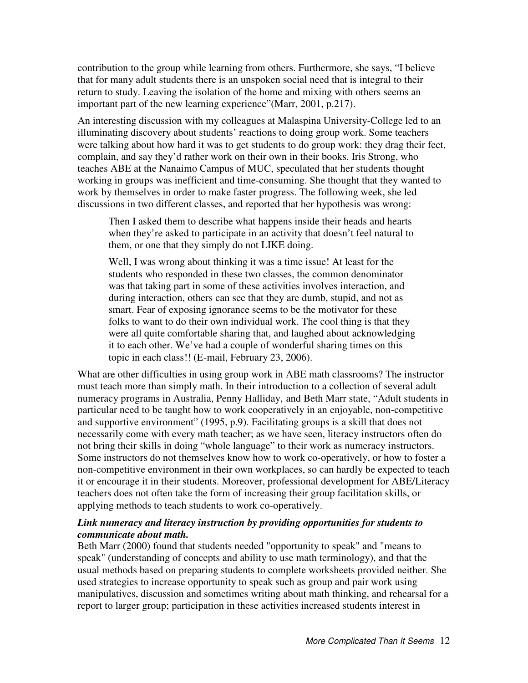contribution to the group while learning from others. Furthermore, she says, "I believe that for many adult students there is an unspoken social need that is integral to their return to study. Leaving the isolation of the home and mixing with others seems an important part of the new learning experience"(Marr, 2001, p.217).

An interesting discussion with my colleagues at Malaspina University-College led to an illuminating discovery about students' reactions to doing group work. Some teachers were talking about how hard it was to get students to do group work: they drag their feet, complain, and say they'd rather work on their own in their books. Iris Strong, who teaches ABE at the Nanaimo Campus of MUC, speculated that her students thought working in groups was inefficient and time-consuming. She thought that they wanted to work by themselves in order to make faster progress. The following week, she led discussions in two different classes, and reported that her hypothesis was wrong:

Then I asked them to describe what happens inside their heads and hearts when they're asked to participate in an activity that doesn't feel natural to them, or one that they simply do not LIKE doing.

Well, I was wrong about thinking it was a time issue! At least for the students who responded in these two classes, the common denominator was that taking part in some of these activities involves interaction, and during interaction, others can see that they are dumb, stupid, and not as smart. Fear of exposing ignorance seems to be the motivator for these folks to want to do their own individual work. The cool thing is that they were all quite comfortable sharing that, and laughed about acknowledging it to each other. We've had a couple of wonderful sharing times on this topic in each class!! (E-mail, February 23, 2006).

What are other difficulties in using group work in ABE math classrooms? The instructor must teach more than simply math. In their introduction to a collection of several adult numeracy programs in Australia, Penny Halliday, and Beth Marr state, "Adult students in particular need to be taught how to work cooperatively in an enjoyable, non-competitive and supportive environment" (1995, p.9). Facilitating groups is a skill that does not necessarily come with every math teacher; as we have seen, literacy instructors often do not bring their skills in doing "whole language" to their work as numeracy instructors. Some instructors do not themselves know how to work co-operatively, or how to foster a non-competitive environment in their own workplaces, so can hardly be expected to teach it or encourage it in their students. Moreover, professional development for ABE/Literacy teachers does not often take the form of increasing their group facilitation skills, or applying methods to teach students to work co-operatively.

#### *Link numeracy and literacy instruction by providing opportunities for students to communicate about math.*

Beth Marr (2000) found that students needed "opportunity to speak" and "means to speak" (understanding of concepts and ability to use math terminology), and that the usual methods based on preparing students to complete worksheets provided neither. She used strategies to increase opportunity to speak such as group and pair work using manipulatives, discussion and sometimes writing about math thinking, and rehearsal for a report to larger group; participation in these activities increased students interest in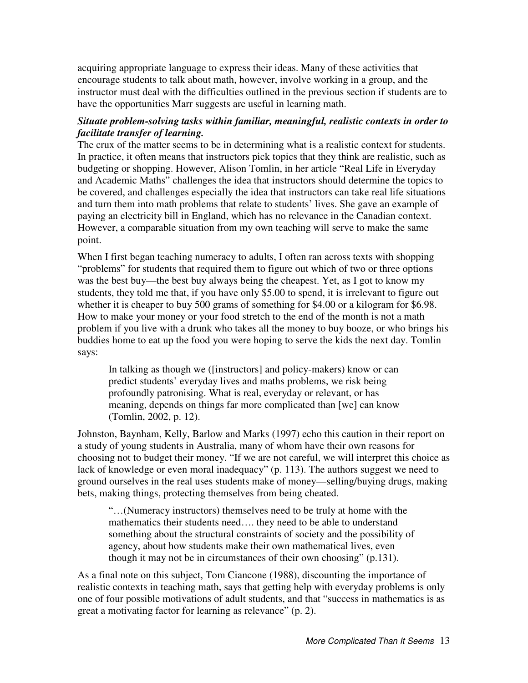acquiring appropriate language to express their ideas. Many of these activities that encourage students to talk about math, however, involve working in a group, and the instructor must deal with the difficulties outlined in the previous section if students are to have the opportunities Marr suggests are useful in learning math.

#### *Situate problem-solving tasks within familiar, meaningful, realistic contexts in order to facilitate transfer of learning.*

The crux of the matter seems to be in determining what is a realistic context for students. In practice, it often means that instructors pick topics that they think are realistic, such as budgeting or shopping. However, Alison Tomlin, in her article "Real Life in Everyday and Academic Maths" challenges the idea that instructors should determine the topics to be covered, and challenges especially the idea that instructors can take real life situations and turn them into math problems that relate to students' lives. She gave an example of paying an electricity bill in England, which has no relevance in the Canadian context. However, a comparable situation from my own teaching will serve to make the same point.

When I first began teaching numeracy to adults, I often ran across texts with shopping "problems" for students that required them to figure out which of two or three options was the best buy—the best buy always being the cheapest. Yet, as I got to know my students, they told me that, if you have only \$5.00 to spend, it is irrelevant to figure out whether it is cheaper to buy 500 grams of something for \$4.00 or a kilogram for \$6.98. How to make your money or your food stretch to the end of the month is not a math problem if you live with a drunk who takes all the money to buy booze, or who brings his buddies home to eat up the food you were hoping to serve the kids the next day. Tomlin says:

In talking as though we ([instructors] and policy-makers) know or can predict students' everyday lives and maths problems, we risk being profoundly patronising. What is real, everyday or relevant, or has meaning, depends on things far more complicated than [we] can know (Tomlin, 2002, p. 12).

Johnston, Baynham, Kelly, Barlow and Marks (1997) echo this caution in their report on a study of young students in Australia, many of whom have their own reasons for choosing not to budget their money. "If we are not careful, we will interpret this choice as lack of knowledge or even moral inadequacy" (p. 113). The authors suggest we need to ground ourselves in the real uses students make of money—selling/buying drugs, making bets, making things, protecting themselves from being cheated.

"…(Numeracy instructors) themselves need to be truly at home with the mathematics their students need…. they need to be able to understand something about the structural constraints of society and the possibility of agency, about how students make their own mathematical lives, even though it may not be in circumstances of their own choosing" (p.131).

As a final note on this subject, Tom Ciancone (1988), discounting the importance of realistic contexts in teaching math, says that getting help with everyday problems is only one of four possible motivations of adult students, and that "success in mathematics is as great a motivating factor for learning as relevance" (p. 2).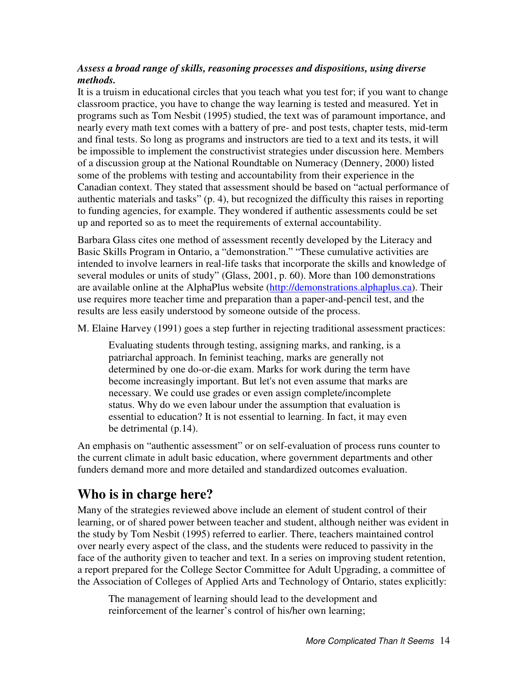#### *Assess a broad range of skills, reasoning processes and dispositions, using diverse methods.*

It is a truism in educational circles that you teach what you test for; if you want to change classroom practice, you have to change the way learning is tested and measured. Yet in programs such as Tom Nesbit (1995) studied, the text was of paramount importance, and nearly every math text comes with a battery of pre- and post tests, chapter tests, mid-term and final tests. So long as programs and instructors are tied to a text and its tests, it will be impossible to implement the constructivist strategies under discussion here. Members of a discussion group at the National Roundtable on Numeracy (Dennery, 2000) listed some of the problems with testing and accountability from their experience in the Canadian context. They stated that assessment should be based on "actual performance of authentic materials and tasks" (p. 4), but recognized the difficulty this raises in reporting to funding agencies, for example. They wondered if authentic assessments could be set up and reported so as to meet the requirements of external accountability.

Barbara Glass cites one method of assessment recently developed by the Literacy and Basic Skills Program in Ontario, a "demonstration." "These cumulative activities are intended to involve learners in real-life tasks that incorporate the skills and knowledge of several modules or units of study" (Glass, 2001, p. 60). More than 100 demonstrations are available online at the AlphaPlus website (http://demonstrations.alphaplus.ca). Their use requires more teacher time and preparation than a paper-and-pencil test, and the results are less easily understood by someone outside of the process.

M. Elaine Harvey (1991) goes a step further in rejecting traditional assessment practices:

Evaluating students through testing, assigning marks, and ranking, is a patriarchal approach. In feminist teaching, marks are generally not determined by one do-or-die exam. Marks for work during the term have become increasingly important. But let's not even assume that marks are necessary. We could use grades or even assign complete/incomplete status. Why do we even labour under the assumption that evaluation is essential to education? It is not essential to learning. In fact, it may even be detrimental (p.14).

An emphasis on "authentic assessment" or on self-evaluation of process runs counter to the current climate in adult basic education, where government departments and other funders demand more and more detailed and standardized outcomes evaluation.

## **Who is in charge here?**

Many of the strategies reviewed above include an element of student control of their learning, or of shared power between teacher and student, although neither was evident in the study by Tom Nesbit (1995) referred to earlier. There, teachers maintained control over nearly every aspect of the class, and the students were reduced to passivity in the face of the authority given to teacher and text. In a series on improving student retention, a report prepared for the College Sector Committee for Adult Upgrading, a committee of the Association of Colleges of Applied Arts and Technology of Ontario, states explicitly:

The management of learning should lead to the development and reinforcement of the learner's control of his/her own learning;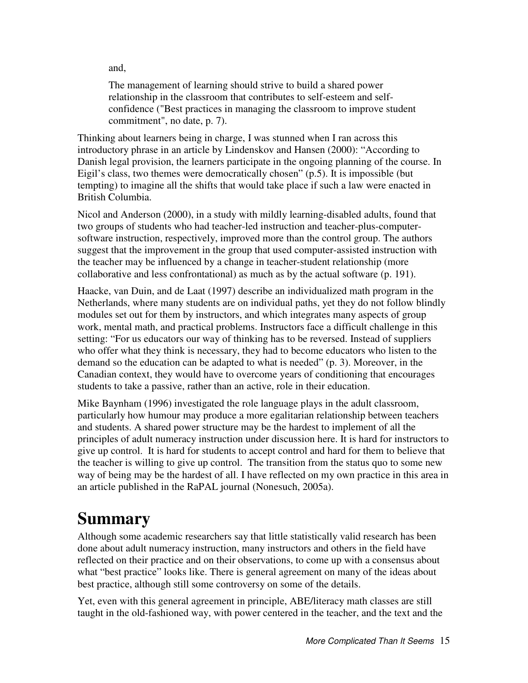and,

The management of learning should strive to build a shared power relationship in the classroom that contributes to self-esteem and selfconfidence ("Best practices in managing the classroom to improve student commitment", no date, p. 7).

Thinking about learners being in charge, I was stunned when I ran across this introductory phrase in an article by Lindenskov and Hansen (2000): "According to Danish legal provision, the learners participate in the ongoing planning of the course. In Eigil's class, two themes were democratically chosen" (p.5). It is impossible (but tempting) to imagine all the shifts that would take place if such a law were enacted in British Columbia.

Nicol and Anderson (2000), in a study with mildly learning-disabled adults, found that two groups of students who had teacher-led instruction and teacher-plus-computersoftware instruction, respectively, improved more than the control group. The authors suggest that the improvement in the group that used computer-assisted instruction with the teacher may be influenced by a change in teacher-student relationship (more collaborative and less confrontational) as much as by the actual software (p. 191).

Haacke, van Duin, and de Laat (1997) describe an individualized math program in the Netherlands, where many students are on individual paths, yet they do not follow blindly modules set out for them by instructors, and which integrates many aspects of group work, mental math, and practical problems. Instructors face a difficult challenge in this setting: "For us educators our way of thinking has to be reversed. Instead of suppliers who offer what they think is necessary, they had to become educators who listen to the demand so the education can be adapted to what is needed" (p. 3). Moreover, in the Canadian context, they would have to overcome years of conditioning that encourages students to take a passive, rather than an active, role in their education.

Mike Baynham (1996) investigated the role language plays in the adult classroom, particularly how humour may produce a more egalitarian relationship between teachers and students. A shared power structure may be the hardest to implement of all the principles of adult numeracy instruction under discussion here. It is hard for instructors to give up control. It is hard for students to accept control and hard for them to believe that the teacher is willing to give up control. The transition from the status quo to some new way of being may be the hardest of all. I have reflected on my own practice in this area in an article published in the RaPAL journal (Nonesuch, 2005a).

## **Summary**

Although some academic researchers say that little statistically valid research has been done about adult numeracy instruction, many instructors and others in the field have reflected on their practice and on their observations, to come up with a consensus about what "best practice" looks like. There is general agreement on many of the ideas about best practice, although still some controversy on some of the details.

Yet, even with this general agreement in principle, ABE/literacy math classes are still taught in the old-fashioned way, with power centered in the teacher, and the text and the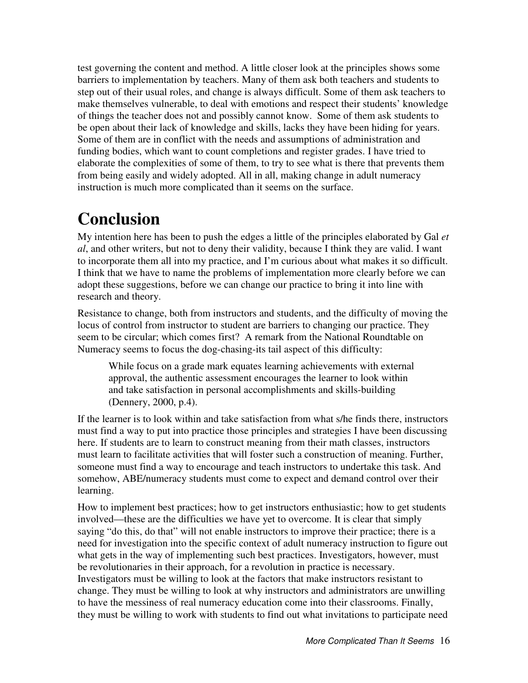test governing the content and method. A little closer look at the principles shows some barriers to implementation by teachers. Many of them ask both teachers and students to step out of their usual roles, and change is always difficult. Some of them ask teachers to make themselves vulnerable, to deal with emotions and respect their students' knowledge of things the teacher does not and possibly cannot know. Some of them ask students to be open about their lack of knowledge and skills, lacks they have been hiding for years. Some of them are in conflict with the needs and assumptions of administration and funding bodies, which want to count completions and register grades. I have tried to elaborate the complexities of some of them, to try to see what is there that prevents them from being easily and widely adopted. All in all, making change in adult numeracy instruction is much more complicated than it seems on the surface.

# **Conclusion**

My intention here has been to push the edges a little of the principles elaborated by Gal *et al*, and other writers, but not to deny their validity, because I think they are valid. I want to incorporate them all into my practice, and I'm curious about what makes it so difficult. I think that we have to name the problems of implementation more clearly before we can adopt these suggestions, before we can change our practice to bring it into line with research and theory.

Resistance to change, both from instructors and students, and the difficulty of moving the locus of control from instructor to student are barriers to changing our practice. They seem to be circular; which comes first? A remark from the National Roundtable on Numeracy seems to focus the dog-chasing-its tail aspect of this difficulty:

While focus on a grade mark equates learning achievements with external approval, the authentic assessment encourages the learner to look within and take satisfaction in personal accomplishments and skills-building (Dennery, 2000, p.4).

If the learner is to look within and take satisfaction from what s/he finds there, instructors must find a way to put into practice those principles and strategies I have been discussing here. If students are to learn to construct meaning from their math classes, instructors must learn to facilitate activities that will foster such a construction of meaning. Further, someone must find a way to encourage and teach instructors to undertake this task. And somehow, ABE/numeracy students must come to expect and demand control over their learning.

How to implement best practices; how to get instructors enthusiastic; how to get students involved—these are the difficulties we have yet to overcome. It is clear that simply saying "do this, do that" will not enable instructors to improve their practice; there is a need for investigation into the specific context of adult numeracy instruction to figure out what gets in the way of implementing such best practices. Investigators, however, must be revolutionaries in their approach, for a revolution in practice is necessary. Investigators must be willing to look at the factors that make instructors resistant to change. They must be willing to look at why instructors and administrators are unwilling to have the messiness of real numeracy education come into their classrooms. Finally, they must be willing to work with students to find out what invitations to participate need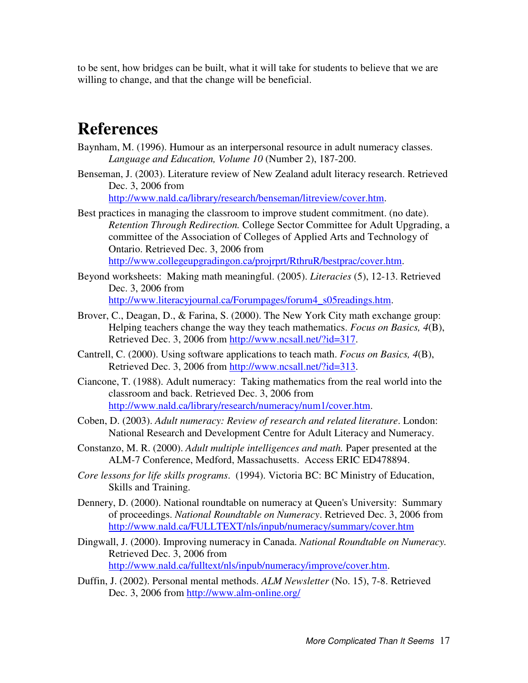to be sent, how bridges can be built, what it will take for students to believe that we are willing to change, and that the change will be beneficial.

## **References**

- Baynham, M. (1996). Humour as an interpersonal resource in adult numeracy classes. *Language and Education, Volume 10* (Number 2), 187-200.
- Benseman, J. (2003). Literature review of New Zealand adult literacy research. Retrieved Dec. 3, 2006 from

http://www.nald.ca/library/research/benseman/litreview/cover.htm.

- Best practices in managing the classroom to improve student commitment. (no date). *Retention Through Redirection.* College Sector Committee for Adult Upgrading, a committee of the Association of Colleges of Applied Arts and Technology of Ontario. Retrieved Dec. 3, 2006 from http://www.collegeupgradingon.ca/projrprt/RthruR/bestprac/cover.htm.
- Beyond worksheets: Making math meaningful. (2005). *Literacies* (5), 12-13. Retrieved Dec. 3, 2006 from http://www.literacyjournal.ca/Forumpages/forum4\_s05readings.htm.
- Brover, C., Deagan, D., & Farina, S. (2000). The New York City math exchange group: Helping teachers change the way they teach mathematics. *Focus on Basics, 4*(B), Retrieved Dec. 3, 2006 from http://www.ncsall.net/?id=317.
- Cantrell, C. (2000). Using software applications to teach math. *Focus on Basics, 4*(B), Retrieved Dec. 3, 2006 from http://www.ncsall.net/?id=313.
- Ciancone, T. (1988). Adult numeracy: Taking mathematics from the real world into the classroom and back. Retrieved Dec. 3, 2006 from http://www.nald.ca/library/research/numeracy/num1/cover.htm.
- Coben, D. (2003). *Adult numeracy: Review of research and related literature*. London: National Research and Development Centre for Adult Literacy and Numeracy.
- Constanzo, M. R. (2000). *Adult multiple intelligences and math.* Paper presented at the ALM-7 Conference, Medford, Massachusetts. Access ERIC ED478894.
- *Core lessons for life skills programs*. (1994). Victoria BC: BC Ministry of Education, Skills and Training.
- Dennery, D. (2000). National roundtable on numeracy at Queen's University: Summary of proceedings. *National Roundtable on Numeracy*. Retrieved Dec. 3, 2006 from http://www.nald.ca/FULLTEXT/nls/inpub/numeracy/summary/cover.htm
- Dingwall, J. (2000). Improving numeracy in Canada. *National Roundtable on Numeracy.*  Retrieved Dec. 3, 2006 from http://www.nald.ca/fulltext/nls/inpub/numeracy/improve/cover.htm.
- Duffin, J. (2002). Personal mental methods. *ALM Newsletter* (No. 15), 7-8. Retrieved Dec. 3, 2006 from http://www.alm-online.org/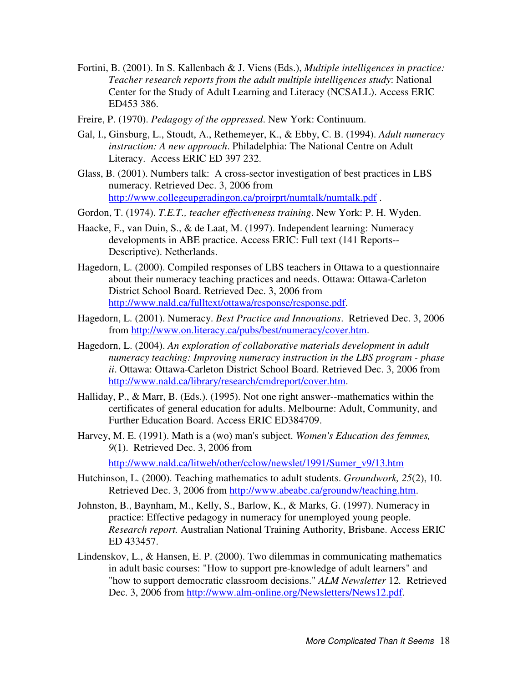- Fortini, B. (2001). In S. Kallenbach & J. Viens (Eds.), *Multiple intelligences in practice: Teacher research reports from the adult multiple intelligences study*: National Center for the Study of Adult Learning and Literacy (NCSALL). Access ERIC ED453 386.
- Freire, P. (1970). *Pedagogy of the oppressed*. New York: Continuum.
- Gal, I., Ginsburg, L., Stoudt, A., Rethemeyer, K., & Ebby, C. B. (1994). *Adult numeracy instruction: A new approach*. Philadelphia: The National Centre on Adult Literacy. Access ERIC ED 397 232.
- Glass, B. (2001). Numbers talk: A cross-sector investigation of best practices in LBS numeracy. Retrieved Dec. 3, 2006 from http://www.collegeupgradingon.ca/projrprt/numtalk/numtalk.pdf .
- Gordon, T. (1974). *T.E.T., teacher effectiveness training*. New York: P. H. Wyden.
- Haacke, F., van Duin, S., & de Laat, M. (1997). Independent learning: Numeracy developments in ABE practice. Access ERIC: Full text (141 Reports-- Descriptive). Netherlands.
- Hagedorn, L. (2000). Compiled responses of LBS teachers in Ottawa to a questionnaire about their numeracy teaching practices and needs. Ottawa: Ottawa-Carleton District School Board. Retrieved Dec. 3, 2006 from http://www.nald.ca/fulltext/ottawa/response/response.pdf.
- Hagedorn, L. (2001). Numeracy. *Best Practice and Innovations*. Retrieved Dec. 3, 2006 from http://www.on.literacy.ca/pubs/best/numeracy/cover.htm.
- Hagedorn, L. (2004). *An exploration of collaborative materials development in adult numeracy teaching: Improving numeracy instruction in the LBS program - phase ii*. Ottawa: Ottawa-Carleton District School Board. Retrieved Dec. 3, 2006 from http://www.nald.ca/library/research/cmdreport/cover.htm.
- Halliday, P., & Marr, B. (Eds.). (1995). Not one right answer--mathematics within the certificates of general education for adults. Melbourne: Adult, Community, and Further Education Board. Access ERIC ED384709.
- Harvey, M. E. (1991). Math is a (wo) man's subject. *Women's Education des femmes, 9*(1). Retrieved Dec. 3, 2006 from

http://www.nald.ca/litweb/other/cclow/newslet/1991/Sumer\_v9/13.htm

- Hutchinson, L. (2000). Teaching mathematics to adult students. *Groundwork, 25*(2), 10. Retrieved Dec. 3, 2006 from http://www.abeabc.ca/groundw/teaching.htm.
- Johnston, B., Baynham, M., Kelly, S., Barlow, K., & Marks, G. (1997). Numeracy in practice: Effective pedagogy in numeracy for unemployed young people. *Research report.* Australian National Training Authority, Brisbane. Access ERIC ED 433457.
- Lindenskov, L., & Hansen, E. P. (2000). Two dilemmas in communicating mathematics in adult basic courses: "How to support pre-knowledge of adult learners" and "how to support democratic classroom decisions." *ALM Newsletter* 12*.* Retrieved Dec. 3, 2006 from http://www.alm-online.org/Newsletters/News12.pdf.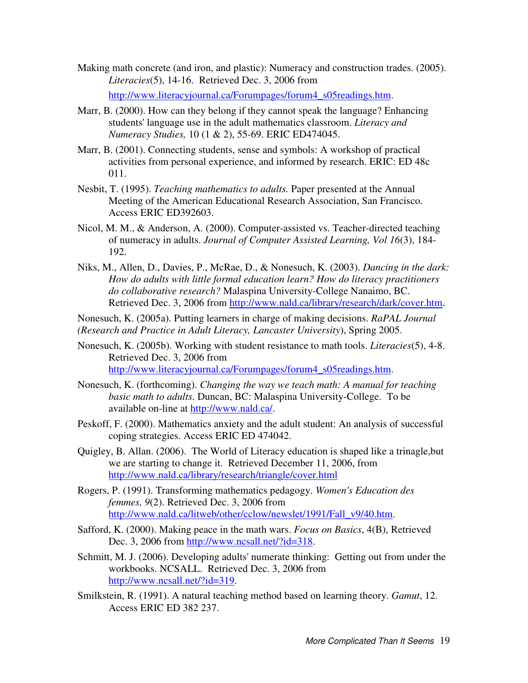Making math concrete (and iron, and plastic): Numeracy and construction trades. (2005). *Literacies*(5), 14-16. Retrieved Dec. 3, 2006 from http://www.literacyjournal.ca/Forumpages/forum4\_s05readings.htm.

Marr, B. (2000). How can they belong if they cannot speak the language? Enhancing

- students' language use in the adult mathematics classroom. *Literacy and Numeracy Studies,* 10 (1 & 2), 55-69. ERIC ED474045.
- Marr, B. (2001). Connecting students, sense and symbols: A workshop of practical activities from personal experience, and informed by research. ERIC: ED 48c 011.
- Nesbit, T. (1995). *Teaching mathematics to adults.* Paper presented at the Annual Meeting of the American Educational Research Association, San Francisco. Access ERIC ED392603.
- Nicol, M. M., & Anderson, A. (2000). Computer-assisted vs. Teacher-directed teaching of numeracy in adults. *Journal of Computer Assisted Learning, Vol 16*(3), 184- 192.
- Niks, M., Allen, D., Davies, P., McRae, D., & Nonesuch, K. (2003). *Dancing in the dark: How do adults with little formal education learn? How do literacy practitioners do collaborative research?* Malaspina University-College Nanaimo, BC. Retrieved Dec. 3, 2006 from http://www.nald.ca/library/research/dark/cover.htm.

Nonesuch, K. (2005a). Putting learners in charge of making decisions. *RaPAL Journal (Research and Practice in Adult Literacy, Lancaster University*), Spring 2005.

- Nonesuch, K. (2005b). Working with student resistance to math tools. *Literacies*(5), 4-8. Retrieved Dec. 3, 2006 from http://www.literacyjournal.ca/Forumpages/forum4\_s05readings.htm.
- Nonesuch, K. (forthcoming). *Changing the way we teach math: A manual for teaching basic math to adults*. Duncan, BC: Malaspina University-College. To be available on-line at http://www.nald.ca/.
- Peskoff, F. (2000). Mathematics anxiety and the adult student: An analysis of successful coping strategies. Access ERIC ED 474042.
- Quigley, B. Allan. (2006). The World of Literacy education is shaped like a trinagle,but we are starting to change it. Retrieved December 11, 2006, from http://www.nald.ca/library/research/triangle/cover.html
- Rogers, P. (1991). Transforming mathematics pedagogy. *Women's Education des femmes, 9*(2). Retrieved Dec. 3, 2006 from http://www.nald.ca/litweb/other/cclow/newslet/1991/Fall\_v9/40.htm.
- Safford, K. (2000). Making peace in the math wars. *Focus on Basics*, 4(B), Retrieved Dec. 3, 2006 from http://www.ncsall.net/?id=318.
- Schmitt, M. J. (2006). Developing adults' numerate thinking: Getting out from under the workbooks. NCSALL. Retrieved Dec. 3, 2006 from http://www.ncsall.net/?id=319.
- Smilkstein, R. (1991). A natural teaching method based on learning theory. *Gamut*, 12. Access ERIC ED 382 237.